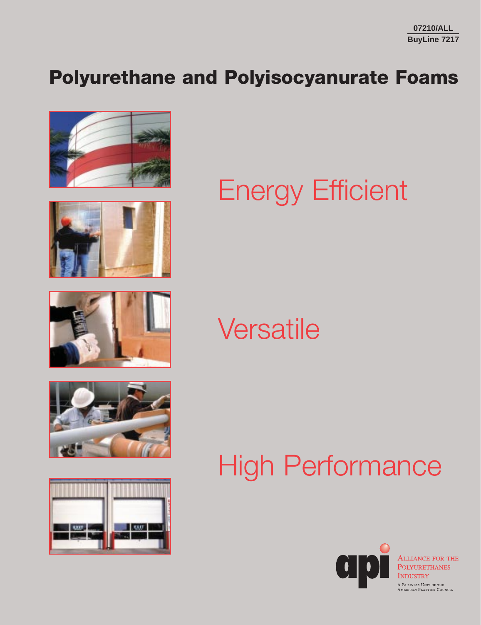## **Polyurethane and Polyisocyanurate Foams**











# Energy Efficient

# **Versatile**

# High Performance

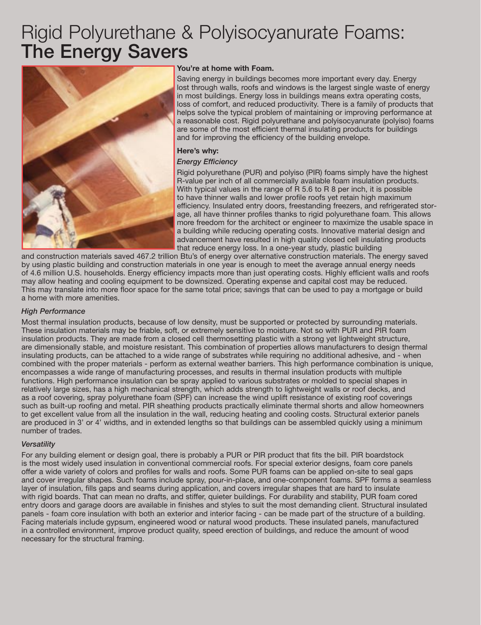### Rigid Polyurethane & Polyisocyanurate Foams: **The Energy Savers**



#### **You're at home with Foam.**

Saving energy in buildings becomes more important every day. Energy lost through walls, roofs and windows is the largest single waste of energy in most buildings. Energy loss in buildings means extra operating costs, loss of comfort, and reduced productivity. There is a family of products that helps solve the typical problem of maintaining or improving performance at a reasonable cost. Rigid polyurethane and polyisocyanurate (polyiso) foams are some of the most efficient thermal insulating products for buildings and for improving the efficiency of the building envelope.

#### **Here's why:**

#### *Energy Efficiency*

Rigid polyurethane (PUR) and polyiso (PIR) foams simply have the highest R-value per inch of all commercially available foam insulation products. With typical values in the range of R 5.6 to R 8 per inch, it is possible to have thinner walls and lower profile roofs yet retain high maximum efficiency. Insulated entry doors, freestanding freezers, and refrigerated storage, all have thinner profiles thanks to rigid polyurethane foam. This allows more freedom for the architect or engineer to maximize the usable space in a building while reducing operating costs. Innovative material design and advancement have resulted in high quality closed cell insulating products that reduce energy loss. In a one-year study, plastic building

and construction materials saved 467.2 trillion Btu's of energy over alternative construction materials. The energy saved by using plastic building and construction materials in one year is enough to meet the average annual energy needs of 4.6 million U.S. households. Energy efficiency impacts more than just operating costs. Highly efficient walls and roofs may allow heating and cooling equipment to be downsized. Operating expense and capital cost may be reduced. This may translate into more floor space for the same total price; savings that can be used to pay a mortgage or build a home with more amenities.

#### *High Performance*

Most thermal insulation products, because of low density, must be supported or protected by surrounding materials. These insulation materials may be friable, soft, or extremely sensitive to moisture. Not so with PUR and PIR foam insulation products. They are made from a closed cell thermosetting plastic with a strong yet lightweight structure, are dimensionally stable, and moisture resistant. This combination of properties allows manufacturers to design thermal insulating products, can be attached to a wide range of substrates while requiring no additional adhesive, and - when combined with the proper materials - perform as external weather barriers. This high performance combination is unique, encompasses a wide range of manufacturing processes, and results in thermal insulation products with multiple functions. High performance insulation can be spray applied to various substrates or molded to special shapes in relatively large sizes, has a high mechanical strength, which adds strength to lightweight walls or roof decks, and as a roof covering, spray polyurethane foam (SPF) can increase the wind uplift resistance of existing roof coverings such as built-up roofing and metal. PIR sheathing products practically eliminate thermal shorts and allow homeowners to get excellent value from all the insulation in the wall, reducing heating and cooling costs. Structural exterior panels are produced in 3' or 4' widths, and in extended lengths so that buildings can be assembled quickly using a minimum number of trades.

#### *Versatility*

For any building element or design goal, there is probably a PUR or PIR product that fits the bill. PIR boardstock is the most widely used insulation in conventional commercial roofs. For special exterior designs, foam core panels offer a wide variety of colors and profiles for walls and roofs. Some PUR foams can be applied on-site to seal gaps and cover irregular shapes. Such foams include spray, pour-in-place, and one-component foams. SPF forms a seamless layer of insulation, fills gaps and seams during application, and covers irregular shapes that are hard to insulate with rigid boards. That can mean no drafts, and stiffer, quieter buildings. For durability and stability, PUR foam cored entry doors and garage doors are available in finishes and styles to suit the most demanding client. Structural insulated panels - foam core insulation with both an exterior and interior facing - can be made part of the structure of a building. Facing materials include gypsum, engineered wood or natural wood products. These insulated panels, manufactured in a controlled environment, improve product quality, speed erection of buildings, and reduce the amount of wood necessary for the structural framing.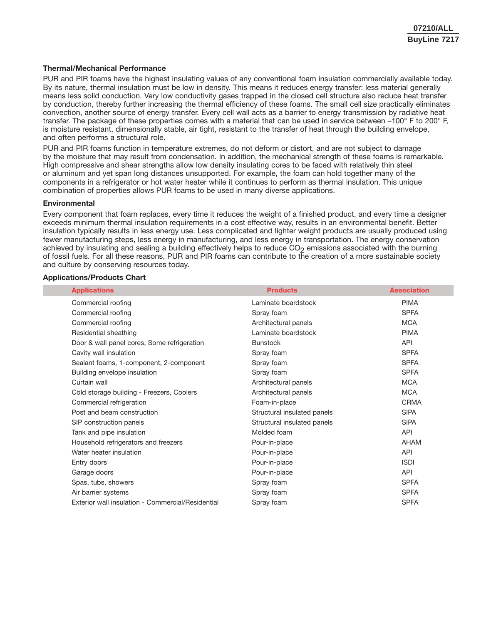#### **Thermal/Mechanical Performance**

PUR and PIR foams have the highest insulating values of any conventional foam insulation commercially available today. By its nature, thermal insulation must be low in density. This means it reduces energy transfer: less material generally means less solid conduction. Very low conductivity gases trapped in the closed cell structure also reduce heat transfer by conduction, thereby further increasing the thermal efficiency of these foams. The small cell size practically eliminates convection, another source of energy transfer. Every cell wall acts as a barrier to energy transmission by radiative heat transfer. The package of these properties comes with a material that can be used in service between –100° F to 200° F, is moisture resistant, dimensionally stable, air tight, resistant to the transfer of heat through the building envelope, and often performs a structural role.

PUR and PIR foams function in temperature extremes, do not deform or distort, and are not subject to damage by the moisture that may result from condensation. In addition, the mechanical strength of these foams is remarkable. High compressive and shear strengths allow low density insulating cores to be faced with relatively thin steel or aluminum and yet span long distances unsupported. For example, the foam can hold together many of the components in a refrigerator or hot water heater while it continues to perform as thermal insulation. This unique combination of properties allows PUR foams to be used in many diverse applications.

#### **Environmental**

Every component that foam replaces, every time it reduces the weight of a finished product, and every time a designer exceeds minimum thermal insulation requirements in a cost effective way, results in an environmental benefit. Better insulation typically results in less energy use. Less complicated and lighter weight products are usually produced using fewer manufacturing steps, less energy in manufacturing, and less energy in transportation. The energy conservation achieved by insulating and sealing a building effectively helps to reduce  $CO<sub>2</sub>$  emissions associated with the burning of fossil fuels. For all these reasons, PUR and PIR foams can contribute to the creation of a more sustainable society and culture by conserving resources today.

#### **Applications/Products Chart**

| <b>Applications</b>                               | <b>Products</b>             | <b>Association</b> |
|---------------------------------------------------|-----------------------------|--------------------|
| Commercial roofing                                | Laminate boardstock         | <b>PIMA</b>        |
| Commercial roofing                                | Spray foam                  | <b>SPFA</b>        |
| Commercial roofing                                | Architectural panels        | <b>MCA</b>         |
| Residential sheathing                             | Laminate boardstock         | <b>PIMA</b>        |
| Door & wall panel cores, Some refrigeration       | <b>Bunstock</b>             | API                |
| Cavity wall insulation                            | Spray foam                  | <b>SPFA</b>        |
| Sealant foams, 1-component, 2-component           | Spray foam                  | <b>SPFA</b>        |
| Building envelope insulation                      | Spray foam                  | <b>SPFA</b>        |
| Curtain wall                                      | Architectural panels        | <b>MCA</b>         |
| Cold storage building - Freezers, Coolers         | Architectural panels        | <b>MCA</b>         |
| Commercial refrigeration                          | Foam-in-place               | <b>CRMA</b>        |
| Post and beam construction                        | Structural insulated panels | <b>SIPA</b>        |
| SIP construction panels                           | Structural insulated panels | <b>SIPA</b>        |
| Tank and pipe insulation                          | Molded foam                 | <b>API</b>         |
| Household refrigerators and freezers              | Pour-in-place               | AHAM               |
| Water heater insulation                           | Pour-in-place               | <b>API</b>         |
| Entry doors                                       | Pour-in-place               | <b>ISDI</b>        |
| Garage doors                                      | Pour-in-place               | <b>API</b>         |
| Spas, tubs, showers                               | Spray foam                  | <b>SPFA</b>        |
| Air barrier systems                               | Spray foam                  | <b>SPFA</b>        |
| Exterior wall insulation - Commercial/Residential | Spray foam                  | <b>SPFA</b>        |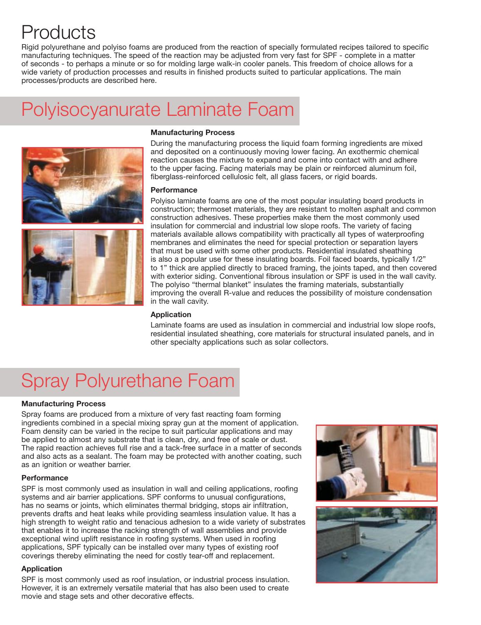## **Products**

Rigid polyurethane and polyiso foams are produced from the reaction of specially formulated recipes tailored to specific manufacturing techniques. The speed of the reaction may be adjusted from very fast for SPF - complete in a matter of seconds - to perhaps a minute or so for molding large walk-in cooler panels. This freedom of choice allows for a wide variety of production processes and results in finished products suited to particular applications. The main processes/products are described here.

### Polyisocyanurate Laminate Foam





#### **Manufacturing Process**

During the manufacturing process the liquid foam forming ingredients are mixed and deposited on a continuously moving lower facing. An exothermic chemical reaction causes the mixture to expand and come into contact with and adhere to the upper facing. Facing materials may be plain or reinforced aluminum foil, fiberglass-reinforced cellulosic felt, all glass facers, or rigid boards.

#### **Performance**

Polyiso laminate foams are one of the most popular insulating board products in construction; thermoset materials, they are resistant to molten asphalt and common construction adhesives. These properties make them the most commonly used insulation for commercial and industrial low slope roofs. The variety of facing materials available allows compatibility with practically all types of waterproofing membranes and eliminates the need for special protection or separation layers that must be used with some other products. Residential insulated sheathing is also a popular use for these insulating boards. Foil faced boards, typically 1/2" to 1" thick are applied directly to braced framing, the joints taped, and then covered with exterior siding. Conventional fibrous insulation or SPF is used in the wall cavity. The polyiso "thermal blanket" insulates the framing materials, substantially improving the overall R-value and reduces the possibility of moisture condensation in the wall cavity.

#### **Application**

Laminate foams are used as insulation in commercial and industrial low slope roofs, residential insulated sheathing, core materials for structural insulated panels, and in other specialty applications such as solar collectors.

## Spray Polyurethane Foam

#### **Manufacturing Process**

Spray foams are produced from a mixture of very fast reacting foam forming ingredients combined in a special mixing spray gun at the moment of application. Foam density can be varied in the recipe to suit particular applications and may be applied to almost any substrate that is clean, dry, and free of scale or dust. The rapid reaction achieves full rise and a tack-free surface in a matter of seconds and also acts as a sealant. The foam may be protected with another coating, such as an ignition or weather barrier.

#### **Performance**

SPF is most commonly used as insulation in wall and ceiling applications, roofing systems and air barrier applications. SPF conforms to unusual configurations, has no seams or joints, which eliminates thermal bridging, stops air infiltration, prevents drafts and heat leaks while providing seamless insulation value. It has a high strength to weight ratio and tenacious adhesion to a wide variety of substrates that enables it to increase the racking strength of wall assemblies and provide exceptional wind uplift resistance in roofing systems. When used in roofing applications, SPF typically can be installed over many types of existing roof coverings thereby eliminating the need for costly tear-off and replacement.

#### **Application**

SPF is most commonly used as roof insulation, or industrial process insulation. However, it is an extremely versatile material that has also been used to create movie and stage sets and other decorative effects.

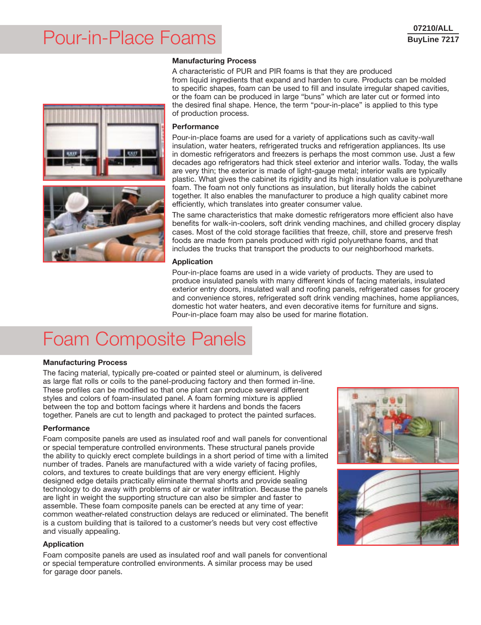### Pour-in-Place Foams

#### **Manufacturing Process**





A characteristic of PUR and PIR foams is that they are produced from liquid ingredients that expand and harden to cure. Products can be molded to specific shapes, foam can be used to fill and insulate irregular shaped cavities, or the foam can be produced in large "buns" which are later cut or formed into the desired final shape. Hence, the term "pour-in-place" is applied to this type of production process.

#### **Performance**

Pour-in-place foams are used for a variety of applications such as cavity-wall insulation, water heaters, refrigerated trucks and refrigeration appliances. Its use in domestic refrigerators and freezers is perhaps the most common use. Just a few decades ago refrigerators had thick steel exterior and interior walls. Today, the walls are very thin; the exterior is made of light-gauge metal; interior walls are typically plastic. What gives the cabinet its rigidity and its high insulation value is polyurethane foam. The foam not only functions as insulation, but literally holds the cabinet together. It also enables the manufacturer to produce a high quality cabinet more efficiently, which translates into greater consumer value.

The same characteristics that make domestic refrigerators more efficient also have benefits for walk-in-coolers, soft drink vending machines, and chilled grocery display cases. Most of the cold storage facilities that freeze, chill, store and preserve fresh foods are made from panels produced with rigid polyurethane foams, and that includes the trucks that transport the products to our neighborhood markets.

#### **Application**

Pour-in-place foams are used in a wide variety of products. They are used to produce insulated panels with many different kinds of facing materials, insulated exterior entry doors, insulated wall and roofing panels, refrigerated cases for grocery and convenience stores, refrigerated soft drink vending machines, home appliances, domestic hot water heaters, and even decorative items for furniture and signs. Pour-in-place foam may also be used for marine flotation.

## Foam Composite Panels

#### **Manufacturing Process**

The facing material, typically pre-coated or painted steel or aluminum, is delivered as large flat rolls or coils to the panel-producing factory and then formed in-line. These profiles can be modified so that one plant can produce several different styles and colors of foam-insulated panel. A foam forming mixture is applied between the top and bottom facings where it hardens and bonds the facers together. Panels are cut to length and packaged to protect the painted surfaces.

#### **Performance**

Foam composite panels are used as insulated roof and wall panels for conventional or special temperature controlled environments. These structural panels provide the ability to quickly erect complete buildings in a short period of time with a limited number of trades. Panels are manufactured with a wide variety of facing profiles, colors, and textures to create buildings that are very energy efficient. Highly designed edge details practically eliminate thermal shorts and provide sealing technology to do away with problems of air or water infiltration. Because the panels are light in weight the supporting structure can also be simpler and faster to assemble. These foam composite panels can be erected at any time of year: common weather-related construction delays are reduced or eliminated. The benefit is a custom building that is tailored to a customer's needs but very cost effective and visually appealing.

#### **Application**

Foam composite panels are used as insulated roof and wall panels for conventional or special temperature controlled environments. A similar process may be used for garage door panels.



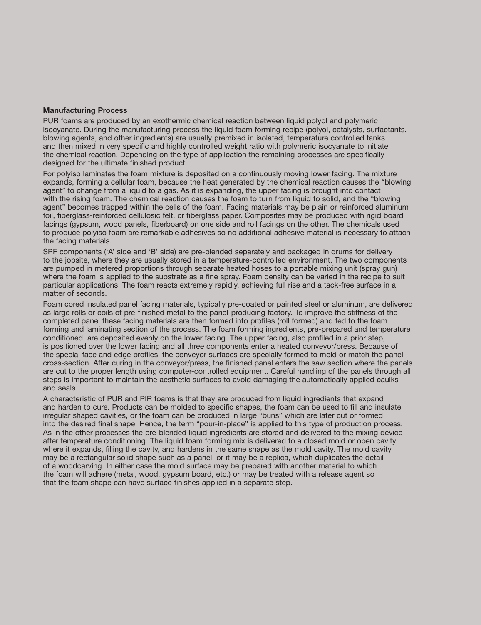#### **Manufacturing Process**

PUR foams are produced by an exothermic chemical reaction between liquid polyol and polymeric isocyanate. During the manufacturing process the liquid foam forming recipe (polyol, catalysts, surfactants, blowing agents, and other ingredients) are usually premixed in isolated, temperature controlled tanks and then mixed in very specific and highly controlled weight ratio with polymeric isocyanate to initiate the chemical reaction. Depending on the type of application the remaining processes are specifically designed for the ultimate finished product.

For polyiso laminates the foam mixture is deposited on a continuously moving lower facing. The mixture expands, forming a cellular foam, because the heat generated by the chemical reaction causes the "blowing agent" to change from a liquid to a gas. As it is expanding, the upper facing is brought into contact with the rising foam. The chemical reaction causes the foam to turn from liquid to solid, and the "blowing agent" becomes trapped within the cells of the foam. Facing materials may be plain or reinforced aluminum foil, fiberglass-reinforced cellulosic felt, or fiberglass paper. Composites may be produced with rigid board facings (gypsum, wood panels, fiberboard) on one side and roll facings on the other. The chemicals used to produce polyiso foam are remarkable adhesives so no additional adhesive material is necessary to attach the facing materials.

SPF components ('A' side and 'B' side) are pre-blended separately and packaged in drums for delivery to the jobsite, where they are usually stored in a temperature-controlled environment. The two components are pumped in metered proportions through separate heated hoses to a portable mixing unit (spray gun) where the foam is applied to the substrate as a fine spray. Foam density can be varied in the recipe to suit particular applications. The foam reacts extremely rapidly, achieving full rise and a tack-free surface in a matter of seconds.

Foam cored insulated panel facing materials, typically pre-coated or painted steel or aluminum, are delivered as large rolls or coils of pre-finished metal to the panel-producing factory. To improve the stiffness of the completed panel these facing materials are then formed into profiles (roll formed) and fed to the foam forming and laminating section of the process. The foam forming ingredients, pre-prepared and temperature conditioned, are deposited evenly on the lower facing. The upper facing, also profiled in a prior step, is positioned over the lower facing and all three components enter a heated conveyor/press. Because of the special face and edge profiles, the conveyor surfaces are specially formed to mold or match the panel cross-section. After curing in the conveyor/press, the finished panel enters the saw section where the panels are cut to the proper length using computer-controlled equipment. Careful handling of the panels through all steps is important to maintain the aesthetic surfaces to avoid damaging the automatically applied caulks and seals.

A characteristic of PUR and PIR foams is that they are produced from liquid ingredients that expand and harden to cure. Products can be molded to specific shapes, the foam can be used to fill and insulate irregular shaped cavities, or the foam can be produced in large "buns" which are later cut or formed into the desired final shape. Hence, the term "pour-in-place" is applied to this type of production process. As in the other processes the pre-blended liquid ingredients are stored and delivered to the mixing device after temperature conditioning. The liquid foam forming mix is delivered to a closed mold or open cavity where it expands, filling the cavity, and hardens in the same shape as the mold cavity. The mold cavity may be a rectangular solid shape such as a panel, or it may be a replica, which duplicates the detail of a woodcarving. In either case the mold surface may be prepared with another material to which the foam will adhere (metal, wood, gypsum board, etc.) or may be treated with a release agent so that the foam shape can have surface finishes applied in a separate step.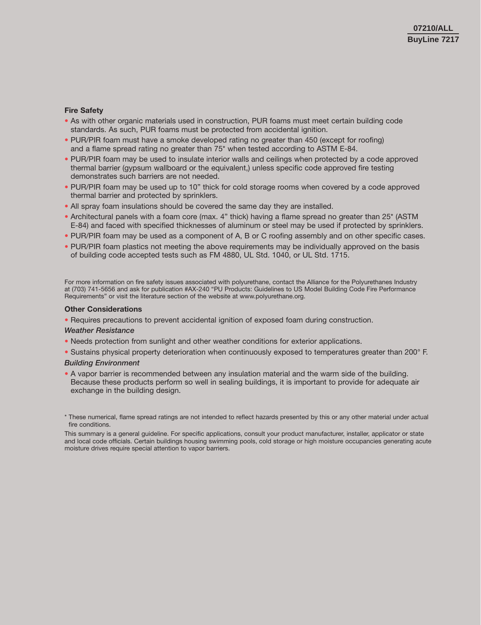#### **Fire Safety**

- As with other organic materials used in construction, PUR foams must meet certain building code standards. As such, PUR foams must be protected from accidental ignition.
- PUR/PIR foam must have a smoke developed rating no greater than 450 (except for roofing) and a flame spread rating no greater than 75\* when tested according to ASTM E-84.
- PUR/PIR foam may be used to insulate interior walls and ceilings when protected by a code approved thermal barrier (gypsum wallboard or the equivalent,) unless specific code approved fire testing demonstrates such barriers are not needed.
- PUR/PIR foam may be used up to 10" thick for cold storage rooms when covered by a code approved thermal barrier and protected by sprinklers.
- All spray foam insulations should be covered the same day they are installed.
- Architectural panels with a foam core (max. 4" thick) having a flame spread no greater than 25\* (ASTM E-84) and faced with specified thicknesses of aluminum or steel may be used if protected by sprinklers.
- PUR/PIR foam may be used as a component of A, B or C roofing assembly and on other specific cases.
- PUR/PIR foam plastics not meeting the above requirements may be individually approved on the basis of building code accepted tests such as FM 4880, UL Std. 1040, or UL Std. 1715.

For more information on fire safety issues associated with polyurethane, contact the Alliance for the Polyurethanes Industry at (703) 741-5656 and ask for publication #AX-240 "PU Products: Guidelines to US Model Building Code Fire Performance Requirements" or visit the literature section of the website at www.polyurethane.org.

#### **Other Considerations**

• Requires precautions to prevent accidental ignition of exposed foam during construction.

#### *Weather Resistance*

- Needs protection from sunlight and other weather conditions for exterior applications.
- Sustains physical property deterioration when continuously exposed to temperatures greater than 200° F.

#### *Building Environment*

• A vapor barrier is recommended between any insulation material and the warm side of the building. Because these products perform so well in sealing buildings, it is important to provide for adequate air exchange in the building design.

<sup>\*</sup> These numerical, flame spread ratings are not intended to reflect hazards presented by this or any other material under actual fire conditions.

This summary is a general guideline. For specific applications, consult your product manufacturer, installer, applicator or state and local code officials. Certain buildings housing swimming pools, cold storage or high moisture occupancies generating acute moisture drives require special attention to vapor barriers.